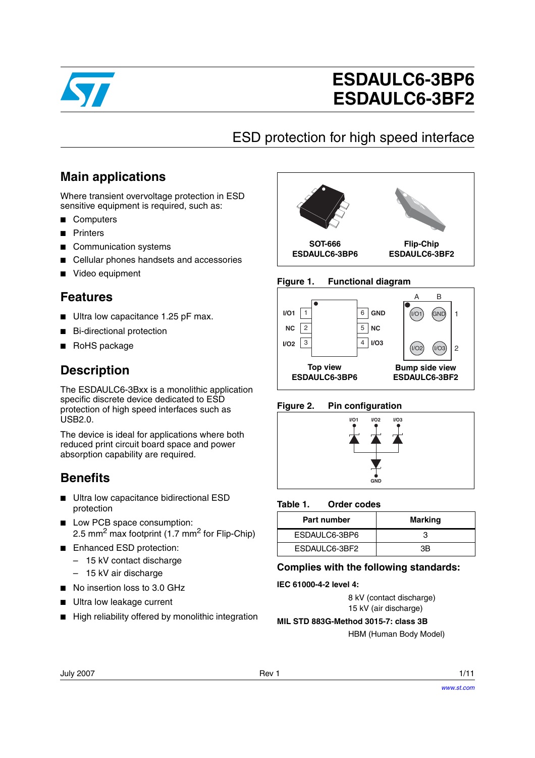

# **ESDAULC6-3BP6 ESDAULC6-3BF2**

# ESD protection for high speed interface

## **Main applications**

Where transient overvoltage protection in ESD sensitive equipment is required, such as:

- Computers
- Printers
- Communication systems
- Cellular phones handsets and accessories
- Video equipment

### **Features**

- Ultra low capacitance 1.25 pF max.
- Bi-directional protection
- RoHS package

### **Description**

The ESDAULC6-3Bxx is a monolithic application specific discrete device dedicated to ESD protection of high speed interfaces such as USB2.0.

The device is ideal for applications where both reduced print circuit board space and power absorption capability are required.

### **Benefits**

- Ultra low capacitance bidirectional ESD protection
- Low PCB space consumption: 2.5 mm<sup>2</sup> max footprint (1.7 mm<sup>2</sup> for Flip-Chip)
- Enhanced ESD protection:
	- 15 kV contact discharge
	- 15 kV air discharge
- No insertion loss to 3.0 GHz
- Ultra low leakage current
- High reliability offered by monolithic integration



### **Figure 1. Functional diagram**



**Figure 2. Pin configuration**



#### Table 1. **Order codes**

| Part number   | <b>Marking</b> |
|---------------|----------------|
| ESDAULC6-3BP6 |                |
| ESDAULC6-3BF2 | ЗB             |

### **Complies with the following standards:**

### **IEC 61000-4-2 level 4:**

8 kV (contact discharge) 15 kV (air discharge)

**MIL STD 883G-Method 3015-7: class 3B**

HBM (Human Body Model)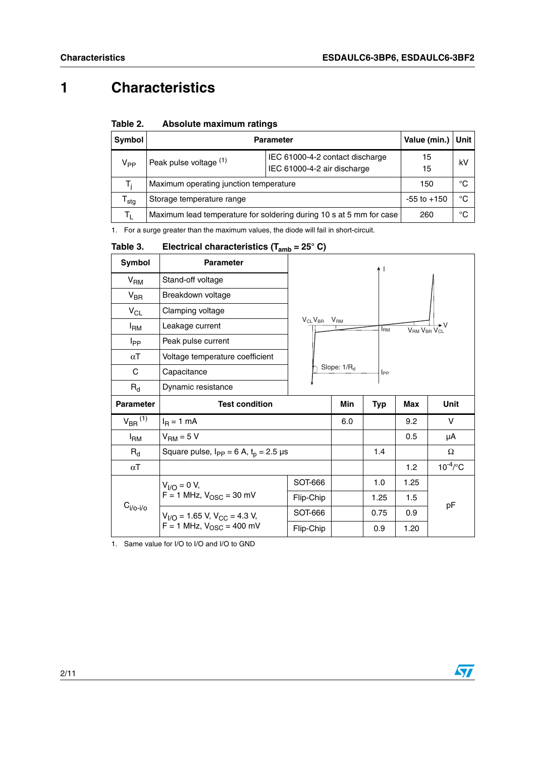## **1 Characteristics**

| Table 2. |  | Absolute maximum ratings |  |
|----------|--|--------------------------|--|
|----------|--|--------------------------|--|

| Symbol           | <b>Parameter</b>                                                                         |  | Value (min.)    | Unit   |
|------------------|------------------------------------------------------------------------------------------|--|-----------------|--------|
| $V_{PP}$         | IEC 61000-4-2 contact discharge<br>Peak pulse voltage (1)<br>IEC 61000-4-2 air discharge |  | 15<br>15        | kV     |
| T:               | Maximum operating junction temperature                                                   |  | 150             | °€     |
| <sup>I</sup> stg | Storage temperature range                                                                |  | $-55$ to $+150$ | °€     |
| т.               | Maximum lead temperature for soldering during 10 s at 5 mm for case                      |  | 260             | $\sim$ |

1. For a surge greater than the maximum values, the diode will fail in short-circuit.

#### Table 3. **Electrical characteristics (T<sub>amb</sub> = 25° C)**

| <b>Symbol</b>           | <b>Parameter</b>                                                                     |                                  |     |                        |                                     |               |  |
|-------------------------|--------------------------------------------------------------------------------------|----------------------------------|-----|------------------------|-------------------------------------|---------------|--|
| V <sub>RM</sub>         | Stand-off voltage                                                                    |                                  |     |                        |                                     |               |  |
| $V_{BR}$                | Breakdown voltage                                                                    |                                  |     |                        |                                     |               |  |
| $V_{CL}$                | Clamping voltage                                                                     |                                  |     |                        |                                     |               |  |
| $I_{\mathsf{RM}}$       | Leakage current                                                                      | $V_{CL}V_{BR}$ $V_{RM}$          |     | <b>I</b> <sub>RM</sub> | V <sub>RM</sub> V <sub>RR</sub> VCL |               |  |
| I <sub>PP</sub>         | Peak pulse current                                                                   | Slope: $1/R_d$<br>$_{\text{PP}}$ |     |                        |                                     |               |  |
| $\alpha$ T              | Voltage temperature coefficient                                                      |                                  |     |                        |                                     |               |  |
| C                       | Capacitance                                                                          |                                  |     |                        |                                     |               |  |
| $R_{d}$                 | Dynamic resistance                                                                   |                                  |     |                        |                                     |               |  |
| <b>Parameter</b>        | <b>Test condition</b>                                                                |                                  | Min | <b>Typ</b>             | <b>Max</b>                          | Unit          |  |
| $V_{BR}$ <sup>(1)</sup> | $IR = 1 mA$                                                                          |                                  | 6.0 |                        | 9.2                                 | v             |  |
| $I_{\rm RM}$            | $VRM = 5 V$                                                                          |                                  |     |                        | 0.5                                 | μA            |  |
| $R_{d}$                 | Square pulse, $I_{PP} = 6$ A, $t_p = 2.5$ µs                                         |                                  |     | 1.4                    |                                     | Ω             |  |
| $\alpha$ T              |                                                                                      |                                  |     |                        | 1.2                                 | $10^{-4}$ /°C |  |
|                         | $V_{I/O} = 0 V,$<br>$F = 1$ MHz, $V_{\text{OSC}} = 30$ mV                            | SOT-666                          |     | 1.0                    | 1.25                                |               |  |
|                         |                                                                                      | Flip-Chip                        |     | 1.25                   | 1.5                                 |               |  |
| $C_{i/O-i/O}$           |                                                                                      |                                  |     |                        |                                     | pF            |  |
|                         | $V_{I/O}$ = 1.65 V, V <sub>CC</sub> = 4.3 V,<br>F = 1 MHz, V <sub>OSC</sub> = 400 mV | SOT-666                          |     | 0.75                   | 0.9                                 |               |  |

1. Same value for I/O to I/O and I/O to GND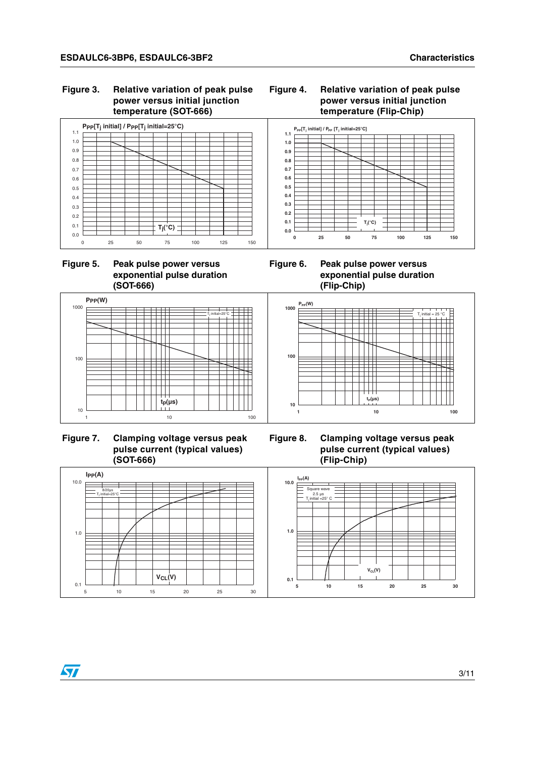#### Figure 3. **Relative variation of peak pulse power versus initial junction temperature (SOT-666)**



 $P_{PP}[T_j \text{ initial}]$  /  $P_{PP}[T_j \text{ initial} = 25^{\circ}\text{C}]$ 







 **Figure 7. Clamping voltage versus peak pulse current (typical values) (SOT-666)**

**Figure 6. Peak pulse power versus exponential pulse duration (Flip-Chip)**

**0.1 0.2 0.3 0.4 0.5 0.6 0.7 0.8 0.9 1.0 1.1**



**0 25 50 75 100 125 150**

**Tj (°C)**

**Figure 8. Clamping voltage versus peak pulse current (typical values) (Flip-Chip)**



| ۹<br>i |
|--------|
|--------|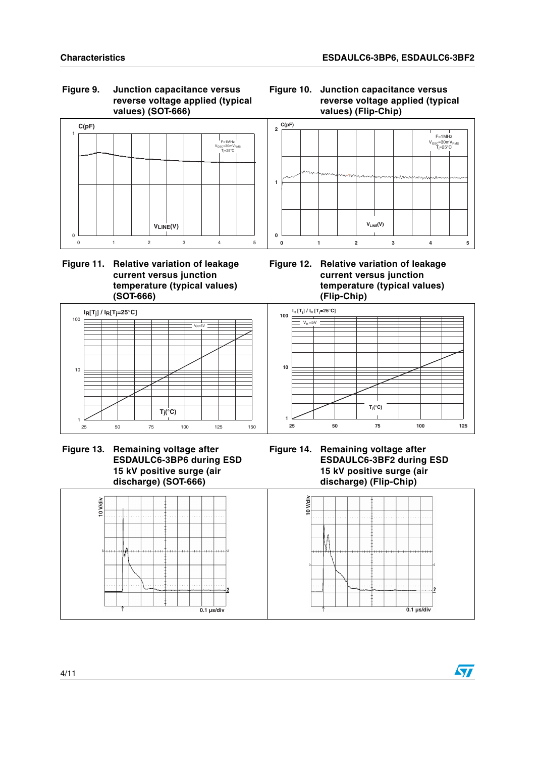### **Figure 9. Junction capacitance versus reverse voltage applied (typical values) (SOT-666)**



### **Figure 11. Relative variation of leakage current versus junction temperature (typical values) (SOT-666)**



 **Figure 13. Remaining voltage after ESDAULC6-3BP6 during ESD 15 kV positive surge (air discharge) (SOT-666)**







**Figure 12. Relative variation of leakage current versus junction temperature (typical values) (Flip-Chip)**



**Figure 14. Remaining voltage after ESDAULC6-3BF2 during ESD 15 kV positive surge (air discharge) (Flip-Chip)**

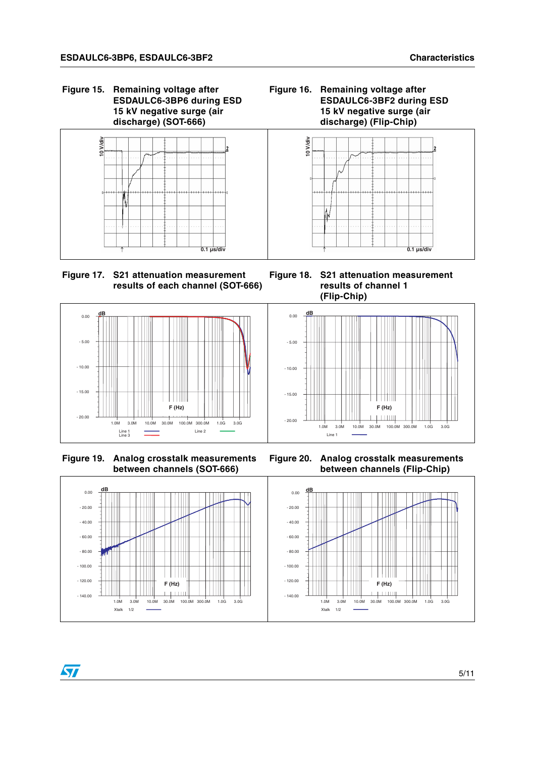**Figure 15. Remaining voltage after ESDAULC6-3BP6 during ESD 15 kV negative surge (air discharge) (SOT-666)**









 **Figure 19. Analog crosstalk measurements between channels (SOT-666)**

ST

**Figure 18. S21 attenuation measurement results of channel 1 (Flip-Chip)**



**Figure 20. Analog crosstalk measurements between channels (Flip-Chip)**



5/11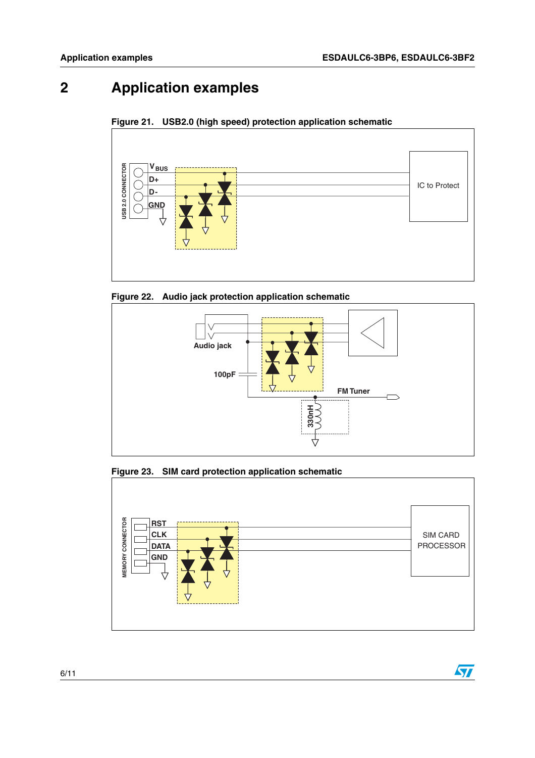$\sqrt{2}$ 

## **2 Application examples**





**Figure 22. Audio jack protection application schematic**



**Figure 23. SIM card protection application schematic**

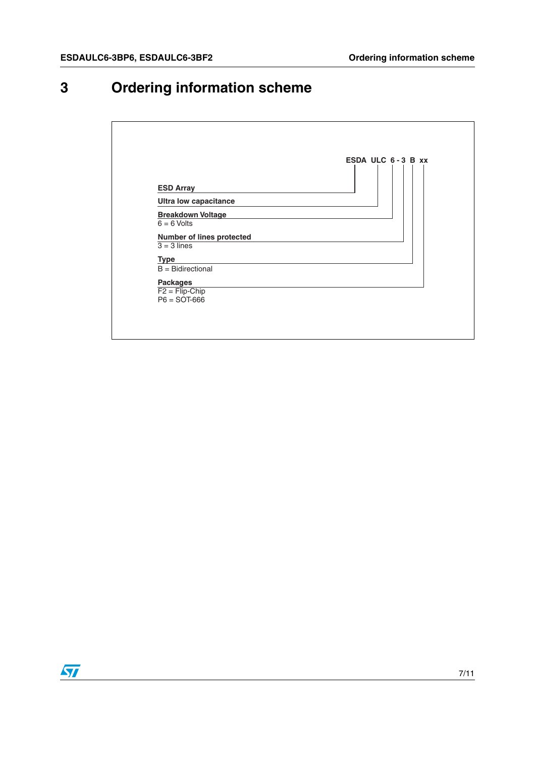# **3 Ordering information scheme**

| <b>ESD Array</b>                                      | ESDA ULC $6 - 3$ B $xx$ |
|-------------------------------------------------------|-------------------------|
| <b>Ultra low capacitance</b>                          |                         |
| <b>Breakdown Voltage</b><br>$6 = 6$ Volts             |                         |
| Number of lines protected<br>$\overline{3} = 3$ lines |                         |
| <b>Type</b><br>$B =$ Bidirectional                    |                         |
| <b>Packages</b><br>$F2 = \overline{Flip}$ -Chip       |                         |
| $P6 =$ SOT-666                                        |                         |

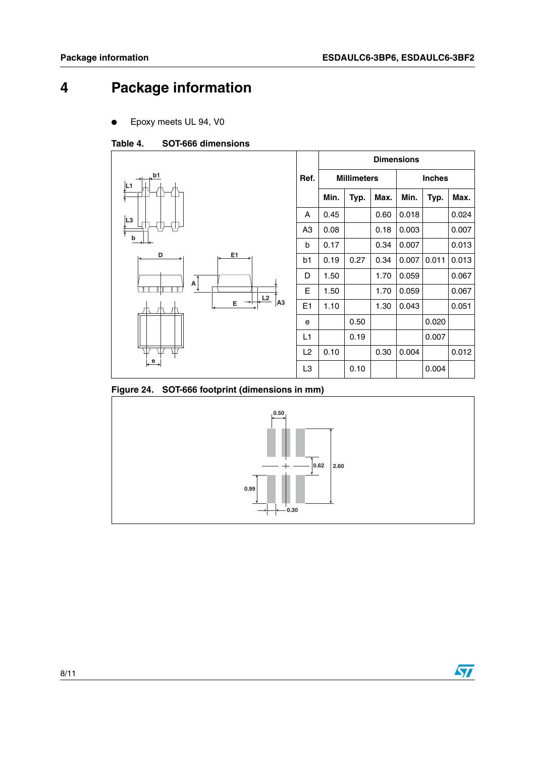## **4 Package information**

Epoxy meets UL 94, V0

#### Table 4. **SOT-666 dimensions**



**Figure 24. SOT-666 footprint (dimensions in mm)**



 $\sqrt{2}$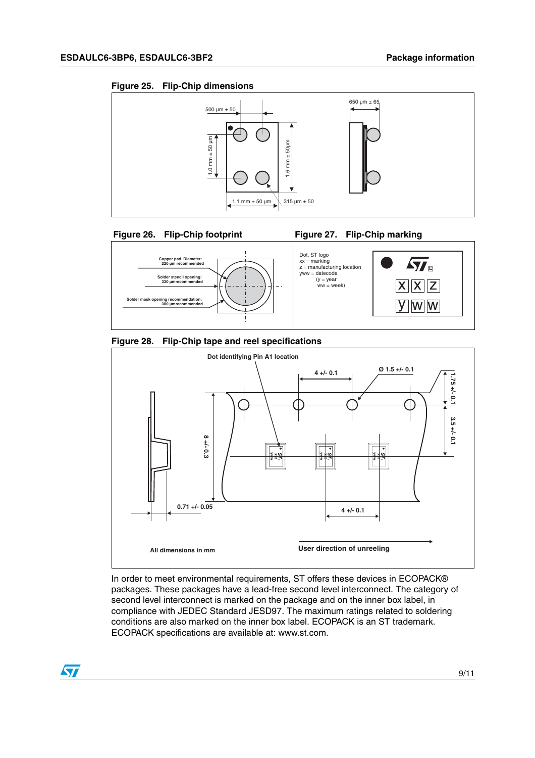











In order to meet environmental requirements, ST offers these devices in ECOPACK® packages. These packages have a lead-free second level interconnect. The category of second level interconnect is marked on the package and on the inner box label, in compliance with JEDEC Standard JESD97. The maximum ratings related to soldering conditions are also marked on the inner box label. ECOPACK is an ST trademark. ECOPACK specifications are available at: www.st.com.

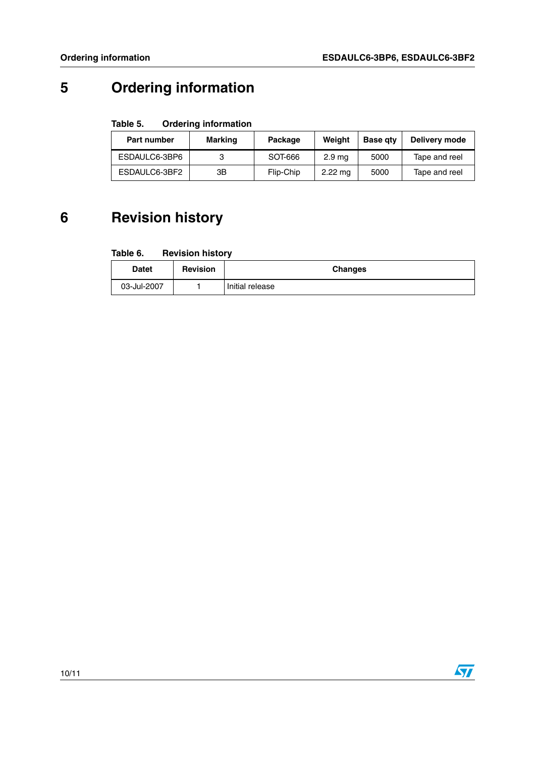$\sqrt{2}$ 

# **5 Ordering information**

#### Table 5. **Ordering information**

| Part number   | Marking | Package   | Weiaht            | <b>Base gtv</b> | Delivery mode |
|---------------|---------|-----------|-------------------|-----------------|---------------|
| ESDAULC6-3BP6 |         | SOT-666   | 2.9 <sub>ma</sub> | 5000            | Tape and reel |
| ESDAULC6-3BF2 | ЗB      | Flip-Chip | $2.22 \text{ ma}$ | 5000            | Tape and reel |

## **6 Revision history**

| <b>Datet</b> | <b>Revision</b> | <b>Changes</b>  |
|--------------|-----------------|-----------------|
| 03-Jul-2007  |                 | Initial release |